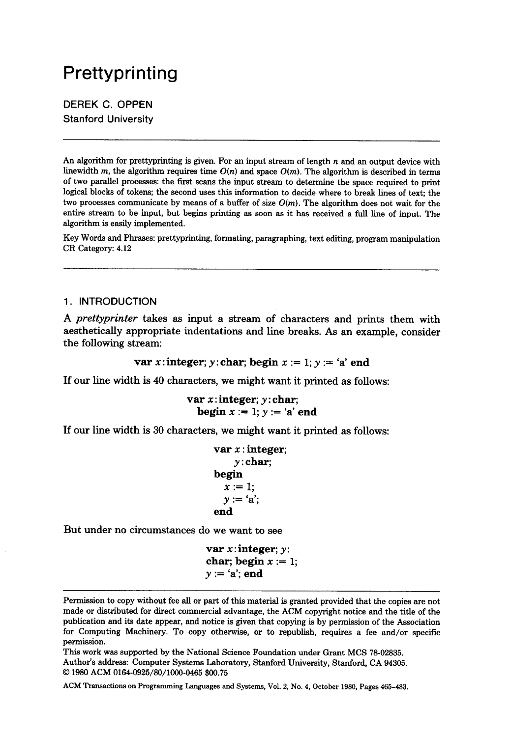# **Prettyprinting**

DEREK C. OPPEN Stanford University

An algorithm for prettyprinting is given. For an input stream of length  $n$  and an output device with linewidth m, the algorithm requires time *O(n)* and space *O(m).* The algorithm is described in terms of two parallel processes: the first scans the input stream to determine the space required to print logical blocks of tokens; the second uses this information to decide where to break lines of text; the two processes communicate by means of a buffer of size  $O(m)$ . The algorithm does not wait for the entire stream to be input, but begins printing as soon as it has received a full line of input. The algorithm is easily implemented.

Key Words and Phrases: prettyprinting, formating, paragraphing, text editing, program manipulation CR Category: 4.12

## 1. INTRODUCTION

*A prettyprinter* takes as input a stream of characters and prints them with aesthetically appropriate indentations and line breaks. As an example, consider the following stream:

```
var x: integer; y: char; begin x := 1; y := 'a' end
```
If our line width is 40 characters, we might want it printed as follows:

```
var x: integer; y: char;
  begin x := 1; y := 'a' end
```
If our line width is 30 characters, we might want it printed as follows:

```
var x : integer;
    y:char;
begin 
  x := 1;
  y := 'a':
end
```
But under no circumstances do we want to see

```
var x: integer; y:
char; begin x := 1;
y := 'a'; end
```
Permission to copy without fee all or part of this material is granted provided that the copies are not made or distributed for direct commercial advantage, the ACM copyright notice and the title of the publication and its date appear, and notice is given that copying is by permission of the Association for Computing Machinery. To copy otherwise, or to republish, requires a fee and/or specific permission.

This work was supported by the National Science Foundation under Grant MCS 78-02835. Author's address: Computer Systems Laboratory, Stanford University, Stanford, CA 94305. © 1980 ACM 0164-0925/80/1000-0465 \$00.75

ACM Transactions on Programming Languages and Systems, Vol. 2, No. 4, October 1980, Pages 465-483.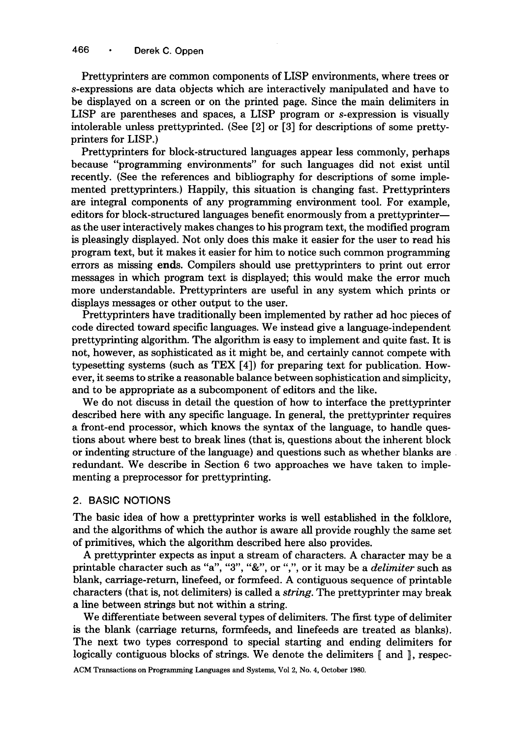Prettyprinters are common components of LISP environments, where trees or s-expressions are data objects which are interactively manipulated and have to be displayed on a screen or on the printed page. Since the main delimiters in LISP are parentheses and spaces, a LISP program or s-expression is visually intolerable unless prettyprinted. (See [2] or [3] for descriptions of some prettyprinters for LISP.)

Prettyprinters for block-structured languages appear less commonly, perhaps because "programming environments" for such languages did not exist until recently. (See the references and bibliography for descriptions of some implemented prettyprinters.) Happily, this situation is changing fast. Prettyprinters are integral components of any programming environment tool. For example, editors for block-structured languages benefit enormously from a prettyprinter-as the user interactively makes changes to his program text, the modified program is pleasingly displayed. Not only does this make it easier for the user to read his program text, but it makes it easier for him to notice such common programming errors as missing ends. Compilers should use prettyprinters to print out error messages in which program text is displayed; this would make the error much more understandable. Prettyprinters are useful in any system which prints or displays messages or other output to the user.

Prettyprinters have traditionally been implemented by rather ad hoc pieces of code directed toward specific languages. We instead give a language-independent prettyprinting algorithm. The algorithm is easy to implement and quite fast. It is not, however, as sophisticated as it might be, and certainly cannot compete with typesetting systems (such as TEX [4]) for preparing text for publication. However, it seems to strike a reasonable balance between sophistication and simplicity, and to be appropriate as a subcomponent of editors and the like.

We do not discuss in detail the question of how to interface the prettyprinter described here with any specific language. In general, the prettyprinter requires a front-end processor, which knows the syntax of the language, to handle questions about where best to break lines {that is, questions about the inherent block or indenting structure of the language) and questions such as whether blanks are redundant. We describe in Section 6 two approaches we have taken to implementing a preprocessor for prettyprinting.

#### 2. BASIC NOTIONS

The basic idea of how a prettyprinter works is well established in the folklore, and the algorithms of which the author is aware all provide roughly the same set of primitives, which the algorithm described here also provides.

A prettyprinter expects as input a stream of characters. A character may be a printable character such as "a", "3", "&", or ",", or it may be a *delimiter* such as blank, carriage-return, linefeed, or formfeed. A contiguous sequence of printable characters {that is, not delimiters) is called a *string.* The prettyprinter may break a line between strings but not within a string.

We differentiate between several types of delimiters. The first type of delimiter is the blank (carriage returns, formfeeds, and linefeeds are treated as blanks). The next two types correspond to special starting and ending delimiters for logically contiguous blocks of strings. We denote the delimiters  $\llbracket$  and  $\rrbracket$ , respec-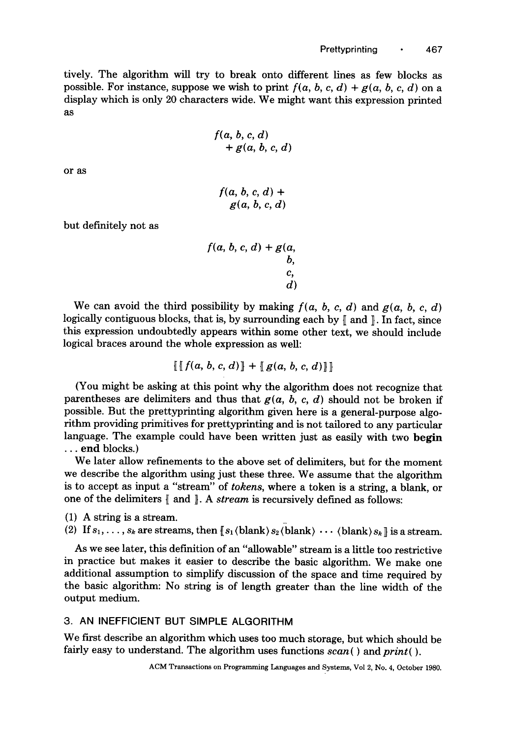tively. The algorithm will try to break onto different lines as few blocks as possible. For instance, suppose we wish to print  $f(a, b, c, d) + g(a, b, c, d)$  on a display which is only 20 characters wide. We might want this expression printed as

$$
f(a, b, c, d)
$$
  
+ g(a, b, c, d)

or as

$$
f(a, b, c, d) +
$$
  
g(a, b, c, d)

but definitely not as

$$
f(a, b, c, d) + g(a, b, c, d)
$$

We can avoid the third possibility by making  $f(a, b, c, d)$  and  $g(a, b, c, d)$ logically contiguous blocks, that is, by surrounding each by  $\parallel$  and  $\parallel$ . In fact, since this expression undoubtedly appears within some other text, we should include logical braces around the whole expression as well:

$$
\llbracket \llbracket f(a, b, c, d) \rrbracket + \llbracket g(a, b, c, d) \rrbracket \rrbracket
$$

(You might be asking at this point why the algorithm does not recognize that parentheses are delimiters and thus that  $g(a, b, c, d)$  should not be broken if possible. But the prettyprinting algorithm given here is a general-purpose algorithm providing primitives for prettyprinting and is not tailored to any particular language. The example could have been written just as easily with two begin **•..** end blocks.)

We later allow refinements to the above set of delimiters, but for the moment we describe the algorithm using just these three. We assume that the algorithm is to accept as input a "stream" of *tokens,* where a token is a string, a blank, or one of the delimiters  $\llbracket$  and  $\rrbracket$ . A *stream* is recursively defined as follows:

(1) A string is a stream.

(2) If  $s_1, \ldots, s_k$  are streams, then  $[s_1 \text{(blank)} s_2 \text{(blank)} \cdots \text{(blank)} s_k]$  is a stream.

As we see later, this definition of an "allowable" stream is a little too restrictive in practice but makes it easier to describe the basic algorithm. We make one additional assumption to simplify discussion of the space and time required by the basic algorithm: No string is of length greater than the line width of the output medium.

#### 3. AN INEFFICIENT BUT SIMPLE ALGORITHM

We first describe an algorithm which uses too much storage, but which should be fairly easy to understand. The algorithm uses functions  $scan()$  and  $print()$ .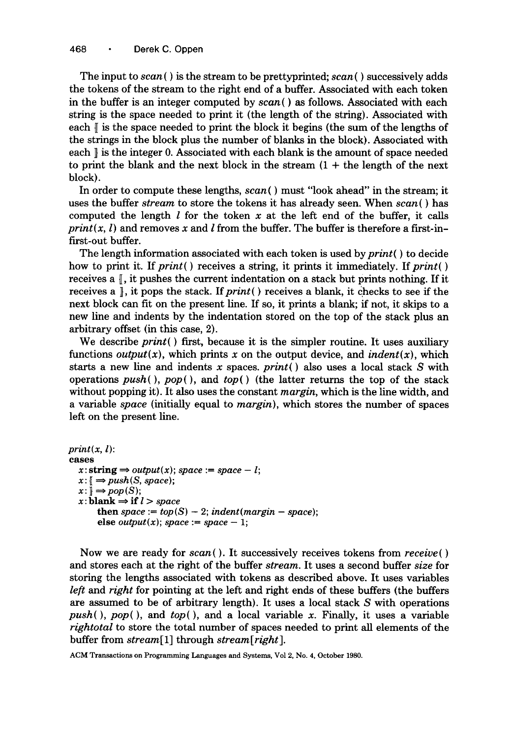The input to *scan ( )* is the stream to be prettyprinted; *scan ( )* successively adds the tokens of the stream to the right end of a buffer. Associated with each token in the buffer is an integer computed by *scan ( )* as follows. Associated with each string is the space needed to print it (the length of the string). Associated with each  $\parallel$  is the space needed to print the block it begins (the sum of the lengths of the strings in the block plus the number of blanks in the block). Associated with each  $\parallel$  is the integer 0. Associated with each blank is the amount of space needed to print the blank and the next block in the stream  $(1 +$  the length of the next block).

In order to compute these lengths,  $scan()$  must "look ahead" in the stream; it uses the buffer *stream* to store the tokens it has already seen. When *scan ( )* has computed the length  $l$  for the token  $x$  at the left end of the buffer, it calls *print(x, l)* and removes x and *l* from the buffer. The buffer is therefore a first-infirst-out buffer.

The length information associated with each token is used by *print( )* to decide how to print it. If *print*() receives a string, it prints it immediately. If *print*() receives a  $\mathbb{I}$ , it pushes the current indentation on a stack but prints nothing. If it receives a ], it pops the stack. *If print( )* receives a blank, it checks to see if the next block can fit on the present line. If so, it prints a blank; if not, it skips to a new line and indents by the indentation stored on the top of the stack plus an arbitrary offset (in this case, 2).

We describe *print(* ) first, because it is the simpler routine. It uses auxiliary functions *output(x)*, which prints x on the output device, and *indent(x)*, which starts a new line and indents x spaces, *print( )* also uses a local stack S with operations  $push()$ ,  $pop()$ , and  $top()$  (the latter returns the top of the stack without popping it). It also uses the constant *margin,* which is the line width, and a variable *space* (initially equal to *margin),* which stores the number of spaces left on the present line.

```
print(x, l):
cases 
   x: \text{string} \Rightarrow output(x); space := space - l;x: \mathbb{R} \Rightarrow push(S, space);x: \mathbb{R} \longrightarrow pop(S);x:blank \Rightarrow if l > spacethen space := top(S) - 2; indent(margin – space);
        else output(x); space := space - 1;
```
Now we are ready for *scan().* It successively receives tokens from *receive( )*  and stores each at the right of the buffer *stream.* It uses a second buffer *size* for storing the lengths associated with tokens as described above. It uses variables *left* and *right* for pointing at the left and right ends of these buffers (the buffers are assumed to be of arbitrary length). It uses a local stack S with operations *push(), pop(),* and *top(),* and a local variable x. Finally, it uses a variable *rightotal* to store the total number of spaces needed to print all elements of the buffer from *stream[l]* through *stream[right].*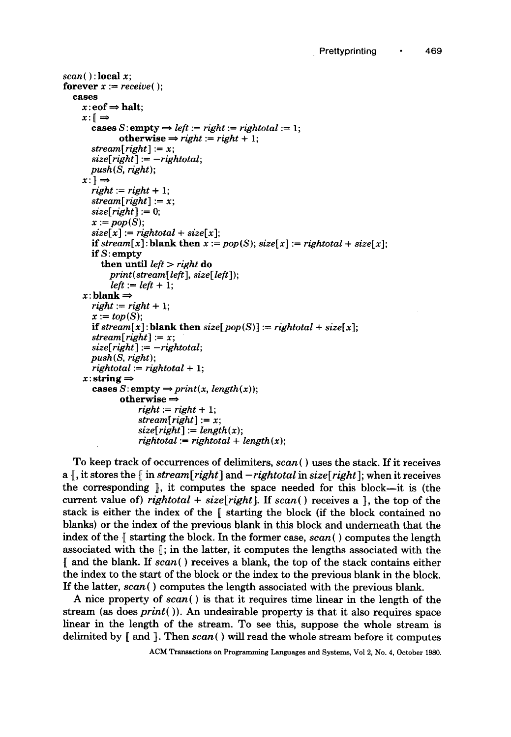```
scan( ) : local x;
forever x := receive():
  eases 
     x:eof \Rightarrow halt;
     x:\mathbb{R}\rightarrowcases S: empty \Rightarrow left := right := rightotal := 1:
               otherwise \Rightarrow right := right + 1;
       stream[right] := x;size[right] := -rightotal;push(S, right); 
     x: \mathbb{R} \rightarrowright := right + 1;stream[right] := x;size[right] := 0;x := pop(S);size[x] := right total + size[x];if stream[x]: blank then x := pop(S); size[x] := right total + size[x];
       if S: empty 
          then until left > right do 
            print(stream[left], size[left]); 
            left := left + 1;x: blank \Rightarrowright := right + 1;
       x := top(S);if stream[x]: blank then size[pop(S)] := right total + size[x];
       stream[right] := x;size[right] := - rightotal ; 
       push(S, right); 

     x:string \Rightarrow\textbf{cases } S: \textbf{empty} \Rightarrow print(x, \textit{length}(x));otherwise \Rightarrowright := right + 1;stream[right] := x;size[right] := length(x);rightotal := right total + length(x);
```
To keep track of occurrences of delimiters, *scan( )* uses the stack. If it receives a  $\parallel$ , it stores the  $\parallel$  in *stream* [*right*] and  $-{\it right}$  in *size*[*right*]; when it receives the corresponding  $\parallel$ , it computes the space needed for this block—it is (the current value of) *rightotal* +  $size[right]$ . If  $scan()$  receives a  $\parallel$ , the top of the stack is either the index of the  $\parallel$  starting the block (if the block contained no blanks) or the index of the previous blank in this block and underneath that the index of the  $\parallel$  starting the block. In the former case,  $scan()$  computes the length associated with the  $\parallel$ ; in the latter, it computes the lengths associated with the and the blank. If *scan(* ) receives a blank, the top of the stack contains either the index to the start of the block or the index to the previous blank in the block. If the latter, *scan{ )* computes the length associated with the previous blank.

A nice property of *scan( ) is* that it requires time linear in the length of the stream (as does *print()).* An undesirable property is that it also requires space linear in the length of the stream. To see this, suppose the whole stream is delimited by  $\parallel$  and  $\parallel$ . Then *scan*() will read the whole stream before it computes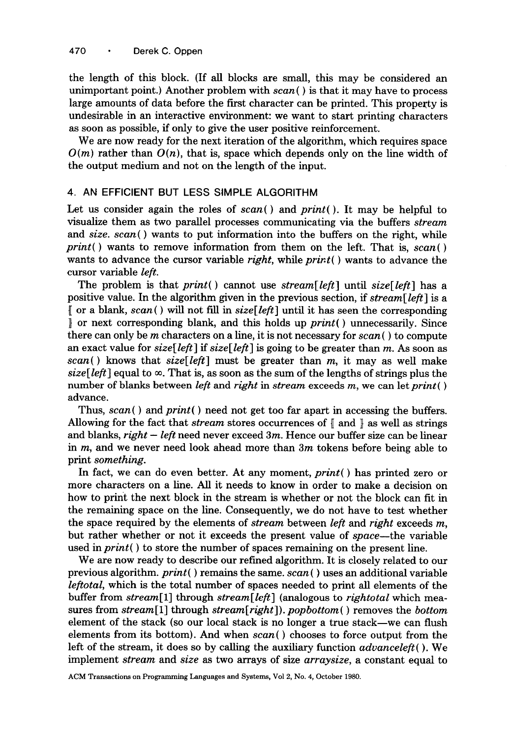the length of this block. (If all blocks are small, this may be considered an unimportant point.) Another problem with *scan( )* is that it may have to process large amounts of data before the first character can be printed. This property is undesirable in an interactive environment: we want to start printing characters as soon as possible, if only to give the user positive reinforcement.

We are now ready for the next iteration of the algorithm, which requires space  $O(m)$  rather than  $O(n)$ , that is, space which depends only on the line width of the output medium and not on the length of the input.

#### 4. AN EFFICIENT BUT LESS SIMPLE ALGORITHM

Let us consider again the roles of *scan( )* and *print().* It may be helpful to visualize them as two parallel processes communicating via the buffers *stream*  and *size. scan( )* wants to put information into the buffers on the right, while *print( )* wants to remove information from them on the left. That is, *scan( )*  wants to advance the cursor variable *right,* while *print( )* wants to advance the cursor variable *left.* 

The problem is that *print()* cannot use *stream[left]* until *size[left]* has a positive value. In the algorithm given in the previous section, if *stream[left]* is a [ or a blank, *scan( ) will* not fill in *size[left]* until it has seen the corresponding ] or next corresponding blank, and this holds up *print( )* unnecessarily. Since there can only be m characters on a line, it is not necessary for *scan ( )* to compute an exact value for *size[left] if size[left]* is going to be greater than m. As soon as *scan{ )* knows that *size[left]* must be greater than m, it may as well make *size*[*left*] equal to  $\infty$ . That is, as soon as the sum of the lengths of strings plus the number of blanks between *left* and *right* in *stream* exceeds m, we can let *print( )*  advance.

Thus, *scan( )* and *print( )* need not get too far apart in accessing the buffers. Allowing for the fact that *stream* stores occurrences of [ and ] as well as strings and blanks, *right - left* need never exceed 3m. Hence our buffer size can be linear in  $m$ , and we never need look ahead more than  $3m$  tokens before being able to print *something.* 

In fact, we can do even better. At any moment, *print( )* has printed zero or more characters on a line. All it needs to know in order to make a decision on how to print the next block in the stream is whether or not the block can fit in the remaining space on the line. Consequently, we do not have to test whether the space required by the elements of *stream* between *left* and *right* exceeds m, but rather whether or not it exceeds the present value of *space--the* variable used in *print( )* to store the number of spaces remaining on the present line.

We are now ready to describe our refined algorithm. It is closely related to our previous algorithm, *print( )* remains the same. *scan( )* uses an additional variable *leftotal,* which is the total number of spaces needed to print all elements of the buffer from *stream[l]* through *stream[left]* (analogous to *rightotal* which measures from *stream[l]* through *stream[right]), popbottom ( )* removes the *bottom*  element of the stack (so our local stack is no longer a true stack--we can flush elements from its bottom). And when *scan( )* chooses to force output from the left of the stream, it does so by calling the auxiliary function *advanceleft().* We implement *stream* and *size* as two arrays of size *arraysize,* a constant equal to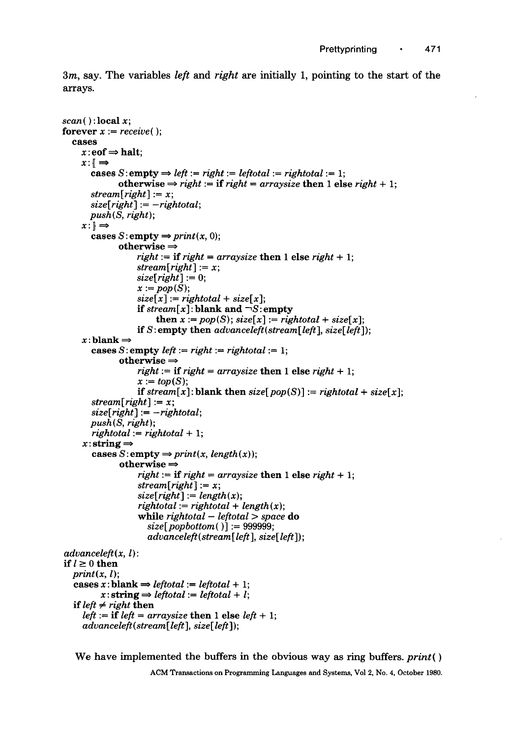3m, say. The variables *left* and *right are* initially 1, pointing to the start of the arrays.

```
scan( ) :local x; 
forever x := receive();
  cases 
    x:eof \Rightarrow halt;
    x: \Rightarrowcases S: empty \Rightarrow left := right := leftotal := rightotal := 1;
              otherwise \Rightarrow right := if right = arraysize then 1 else right + 1;
       stream[right] := x; 
       size[right] := -rightotal; 
       push(S, right); 
     x: \mathbb{R} \Rightarrowcases S: empty \Rightarrow print(x, 0);
              otherwise \Rightarrowright := if right = arraysize then 1 else right + 1;
                   stream[right] := x; 
                   size[right] := 0;x := pop(S);size[x] := right total + size[x];
                   if stream[x]: blank and \neg S: empty
                        then x := pop(S); size[x] := right total + size[x];
                   if S: empty then advanceleft(stream[left], size[left]); 
     x:blank \Rightarrowcases S: empty left := right := right \cdot t = 1;otherwise \Rightarrowright := if right = arraysize then 1 else right + 1;
                   x := top(S);if stream[x]: blank then size[pop(S)] := rightotal + size[x];
       stream[right] := x; 
       size[right] := - rightotal ; 
       push(S, right); 
       rightotal := rightotal + 1; 
     x:string \Rightarrowcases S: empty \Rightarrow print(x, length(x));
               otherwise \Rightarrowright := if right = arraysize then 1 else right + 1;
                   stream[right] := x; 
                   size[right] := length(x);
                   while rightotal - leftotal > space do 
                      size[popbottom( )] := 999999; 
                      advanceleft( stream[ left ], size[left]); 
advanceleft( x, l): 
if l \geq 0 then
  print(x, l);
  cases x:blank \Rightarrow leftotal := leftotal + 1;
          x: string \Rightarrow leftotal := leftotal + l;
  if left \neq right then
     left := if left = arraysize then 1 else left + 1;
     advanceleft( stream[ left ], size[left]);
```
We have implemented the buffers in the obvious way as ring buffers, *print( )*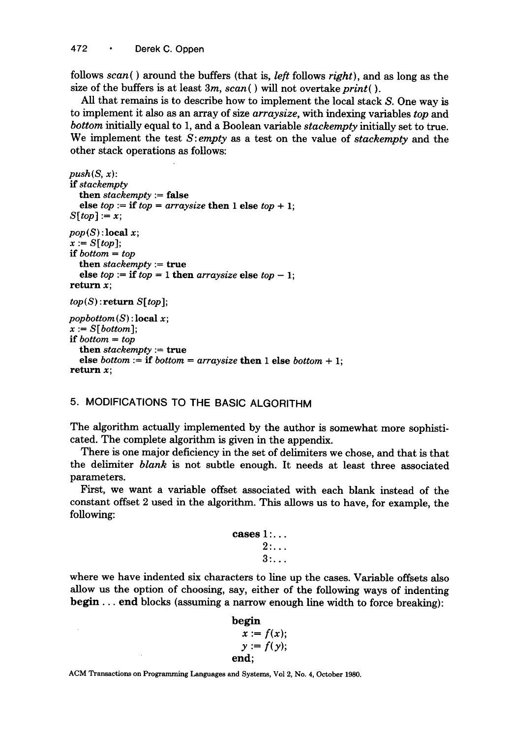follows *scan( )* around the buffers (that is, *left* follows *right),* and as long as the size of the buffers is at least 3m, *scan( ) will* not overtake *print().* 

All that remains is to describe how to implement the local stack S. One way is to implement it also as an array of size *arraysize,* with indexing variables *top and bottom* initially equal to 1, and a Boolean variable *stackempty* initially set to true. We implement the test *S:empty* as a test on the value of *stackempty* and the other stack operations as follows:

```
push(S, x):
if stackempty 
  then stackempty := false 
  else top := if top = arraysize then 1 else top + 1;
S[top] := x;pop(S):local x;
x := S[top];
if bottom = top 
  then stackempty := true 
  else top := if top = 1 then arraysize else top - 1;
return x; 
top(S): return S[top];
popbottom(S) : local x; 
x := S[bottom];
if bottom = top 
  then stackempty := true 
  else bottom := if bottom = arraysize then 1 else bottom + 1;
return x;
```
### 5. MODIFICATIONS TO THE BASIC ALGORITHM

The algorithm actually implemented by the author is somewhat more sophisticated. The complete algorithm is given in the appendix.

There is one major deficiency in the set of delimiters we chose, and that is that the delimiter *blank* is not subtle enough. It needs at least three associated parameters.

First, we want a variable offset associated with each blank instead of the constant offset 2 used in the algorithm. This allows us to have, for example, the following:

| ${\bf cases}\,1$ . |    |  |  |  |
|--------------------|----|--|--|--|
|                    | 2: |  |  |  |
|                    | 3: |  |  |  |

where we have indented six characters to line up the cases. Variable offsets also allow us the option of choosing, say, either of the following ways of indenting begin.., end blocks (assuming a narrow enough line width to force breaking):

```
begin 
  x := f(x);y := f(y);end;
```
ACM Transactions on Programming Languages and Systems, Vol 2, No. 4, October 1980.

 $\ddot{\phantom{a}}$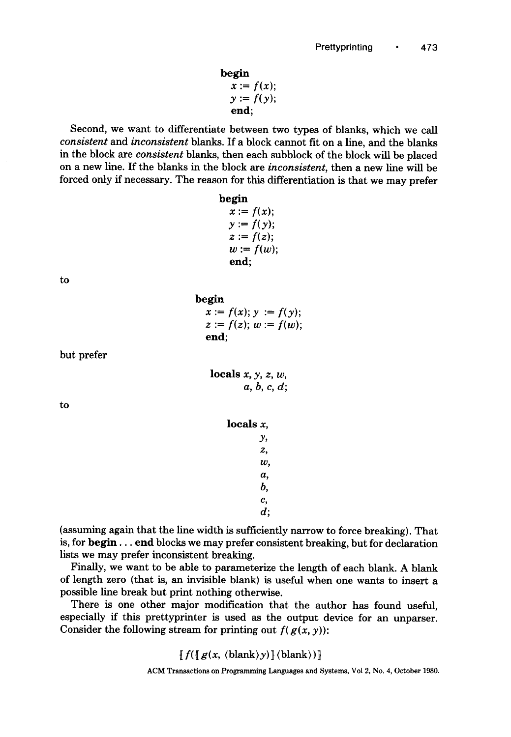begin  $x := f(x)$ ;  $y := f(y);$ end;

Second, we want to differentiate between two types of blanks, which we call *consistent* and *inconsistent* blanks. If a block cannot fit on a line, and the blanks in the block are *consistent* blanks, then each subblock of the block will be placed on a new line. If the blanks in the block are *inconsistent,* then a new line will be forced only if necessary. The reason for this differentiation is that we may prefer

| begin        |            |
|--------------|------------|
| $x := f(x);$ |            |
| $y := f(y);$ |            |
| $z := f(z);$ |            |
|              | $w:=f(w);$ |
| end:         |            |

 $x := f(x); y := f(y);$  $z := f(z); w := f(w);$ 

to

but prefer

to

|              |  | a, b, c, d; |
|--------------|--|-------------|
| locals $x$ , |  |             |

locals  $x, y, z, w$ ,

begin

end;

```
Y, 
Z, 
W, 
a, 
b, 
C, 
d;
```
(assuming again that the line width is sufficiently narrow to force breaking). That is, for begin... end blocks we may prefer consistent breaking, but for declaration lists we may prefer inconsistent breaking.

Finally, we want to be able to parameterize the length of each blank. A blank of length zero (that is, an invisible blank) is useful when one wants to insert a possible line break but print nothing otherwise.

There is one other major modification that the author has found useful, especially if this prettyprinter is used as the output device for an unparser. Consider the following stream for printing out  $f(g(x, y))$ :

 $\|f(\|g(x, \langle \text{blank}\rangle y)\| \langle \text{blank}\rangle)\|$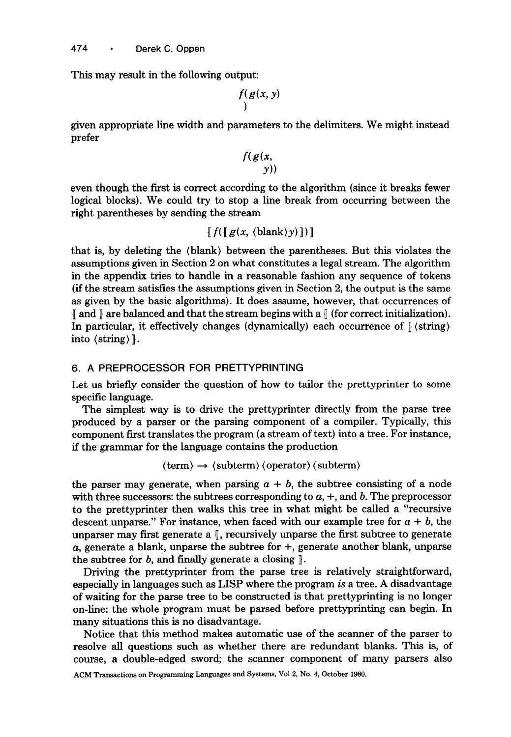This may result in the following output:

$$
\int\limits_{1}^{x} (g(x, y))
$$

given appropriate line width and parameters to the delimiters. We might instead prefer

$$
\frac{f(g(x, y))}{y)}
$$

even though the first is correct according to the algorithm (since it breaks fewer logical blocks). We could try to stop a line break from occurring between the right parentheses by sending the stream

$$
\llbracket f(\llbracket g(x, \langle blank \rangle y) \rrbracket) \rrbracket
$$

that is, by deleting the (blank) between the parentheses. But this violates the assumptions given in Section 2 on what constitutes a legal stream. The algorithm in the appendix tries to handle in a reasonable fashion any sequence of tokens (ff the stream satisfies the assumptions given in Section 2, the output is the same as given by the basic algorithms). It does assume, however, that occurrences of  $\parallel$  and  $\parallel$  are balanced and that the stream begins with a  $\parallel$  (for correct initialization). In particular, it effectively changes (dynamically) each occurrence of  $\sqrt{\frac{2\pi}{n}}$ into (string) ].

## 6. A PREPROCESSOR FOR PRETTYPRINTING

Let us briefly consider the question of how to tailor the prettyprinter to some specific language.

The simplest way is to drive the prettyprinter directly from the parse tree produced by a parser or the parsing component of a compiler. Typically, this component first translates the program (a stream of text) into a tree. For instance, if the grammar for the language contains the production

 $\langle \text{term} \rangle \rightarrow \langle \text{subterm} \rangle \langle \text{operator} \rangle$  (subterm)

the parser may generate, when parsing  $a + b$ , the subtree consisting of a node with three successors: the subtrees corresponding to  $a, +$ , and b. The preprocessor to the prettyprinter then walks this tree in what might be called a "recursive descent unparse." For instance, when faced with our example tree for  $a + b$ , the unparser may first generate a  $\mathbb{F}$ , recursively unparse the first subtree to generate  $a$ , generate a blank, unparse the subtree for  $+$ , generate another blank, unparse the subtree for  $b$ , and finally generate a closing  $\|$ .

Driving the prettyprinter from the parse tree is relatively straightforward, especially in languages such as LISP where the program *is* a tree. A disadvantage of waiting for the parse tree to be constructed is that prettyprinting is no longer on-line: the whole program must be parsed before prettyprinting can begin. In many situations this is no disadvantage.

Notice that this method makes automatic use of the scanner of the parser to resolve all questions such as whether there are redundant blanks. This is, of course, a double-edged sword; the scanner component of many parsers also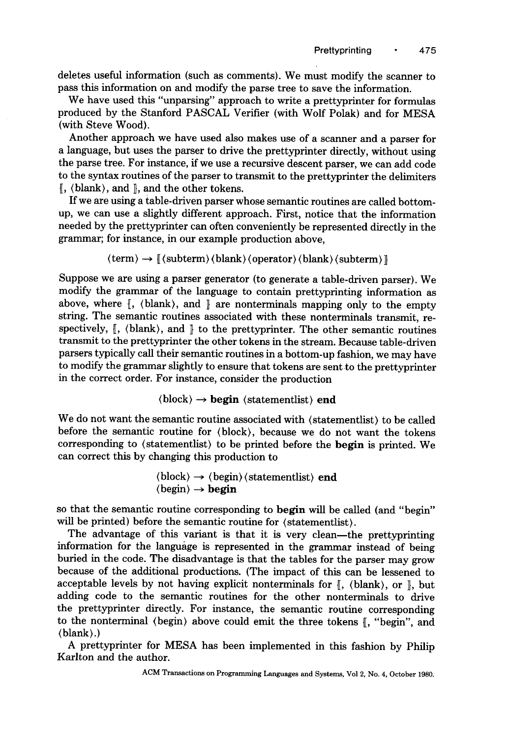deletes useful information (such as comments). We must modify the scanner to pass this information on and modify the parse tree to save the information.

We have used this "unparsing" approach to write a prettyprinter for formulas produced by the Stanford PASCAL Verifier {with Wolf Polak) and for MESA (with Steve Wood).

Another approach we have used also makes use of a scanner and a parser for a language, but uses the parser to drive the prettyprinter directly, without using the parse tree. For instance, if we use a recursive descent parser, we can add code to the syntax routines of the parser to transmit to the prettyprinter the delimiters  $\mathcal{L}$ , (blank), and  $\mathcal{L}$ , and the other tokens.

If we are using a table-driven parser whose semantic routines are called bottomup, we can use a slightly different approach. First, notice that the information needed by the prettyprinter can often conveniently be represented directly in the grammar; for instance, in our example production above,

 $\langle \text{term} \rangle \rightarrow \| \langle \text{subterm} \rangle \langle \text{blank} \rangle \langle \text{operator} \rangle \langle \text{blank} \rangle \langle \text{subterm} \rangle \|$ 

Suppose we are using a parser generator (to generate a table-driven parser). We modify the grammar of the language to contain prettyprinting information as above, where  $\mathbb{I}$ , (blank), and  $\mathbb{I}$  are nonterminals mapping only to the empty string. The semantic routines associated with these nonterminals transmit, respectively,  $\mathbb{I}$ , (blank), and  $\mathbb{I}$  to the prettyprinter. The other semantic routines transmit to the prettyprinter the other tokens in the stream. Because table-driven parsers typically call their semantic routines in a bottom-up fashion, we may have to modify the grammar slightly to ensure that tokens are sent to the prettyprinter in the correct order. For instance, consider the production

 $\langle \text{block} \rangle \rightarrow \text{begin}$  (statementlist) end

We do not want the semantic routine associated with (statementlist) to be called before the semantic routine for (block), because we do not want the tokens corresponding to (statementlist) to be printed before the begin is printed. We can Correct this by changing this production to

> $\langle \text{block} \rangle \rightarrow \langle \text{begin} \rangle \langle \text{statementlist} \rangle \text{end}$  $\langle$ begin $\rangle \rightarrow$  begin

so that the semantic routine corresponding to begin will be called (and "begin" will be printed) before the semantic routine for (statementlist).

The advantage of this variant is that it is very clean—the prettyprinting information for the language is represented in the grammar instead of being buried in the code. The disadvantage is that the tables for the parser may grow because of the additional productions. (The impact of this can be lessened to acceptable levels by not having explicit nonterminals for  $\parallel$ , (blank), or  $\parallel$ , but adding code to the semantic routines for the other nonterminals to drive the prettyprinter directly. For instance, the semantic routine corresponding to the nonterminal (begin) above could emit the three tokens  $[$ , "begin", and (blank).)

A prettyprinter for MESA has been implemented in this fashion by Philip Karlton and the author.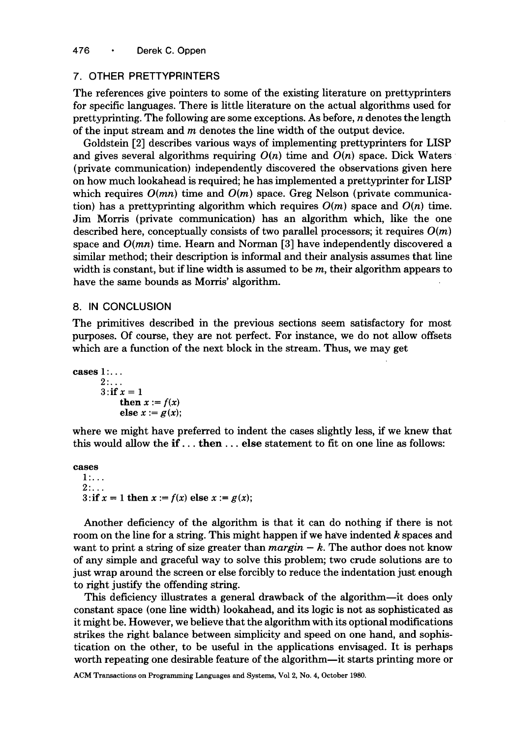# 7. OTHER PRETTYPRINTERS

The references give pointers to some of the existing literature on prettyprinters for specific languages. There is little literature on the actual algorithms used for prettyprinting. The following are some exceptions. As before, n denotes the length of the input stream and  $m$  denotes the line width of the output device.

Goldstein [2] describes various ways of implementing prettyprinters for LISP and gives several algorithms requiring  $O(n)$  time and  $O(n)$  space. Dick Waters (private communication) independently discovered the observations given here on how much lookahead is required; he has implemented a prettyprinter for LISP which requires  $O(mn)$  time and  $O(m)$  space. Greg Nelson (private communication) has a prettyprinting algorithm which requires  $O(m)$  space and  $O(n)$  time. Jim Morris (private communication) has an algorithm which, like the one described here, conceptually consists of two parallel processors; it requires *O(m)*  space and *O(mn)* time. Hearn and Norman [3] have independently discovered a similar method; their description is informal and their analysis assumes that line width is constant, but if line width is assumed to be  $m$ , their algorithm appears to have the same bounds as Morris' algorithm.

### 8. IN CONCLUSION

The primitives described in the previous sections seem satisfactory for most purposes. Of course, they are not perfect. For instance, we do not allow offsets which are a function of the next block in the stream. Thus, we may get

```
cases 1 :... 
      2:...3:if x = 1then x := f(x)else x := g(x);
```
where we might have preferred to indent the cases slightly less, if we knew that this would allow the if... then.., else statement to fit on one line as follows:

```
cases 
  1:...2:...3: if x = 1 then x := f(x) else x := g(x);
```
Another deficiency of the algorithm is that it can do nothing if there is not room on the line for a string. This might happen if we have indented  $k$  spaces and want to print a string of size greater than  $margin - k$ . The author does not know of any simple and graceful way to solve this problem; two crude solutions are to just wrap around the screen or else forcibly to reduce the indentation just enough to right justify the offending string.

This deficiency illustrates a general drawback of the algorithm--it does only constant space (one line width) lookahead, and its logic is not as sophisticated as it might be. However, we believe that the algorithm with its optional modifications strikes the right balance between simplicity and speed on one hand, and sophistication on the other, to be useful in the applications envisaged. It is perhaps worth repeating one desirable feature of the algorithm—it starts printing more or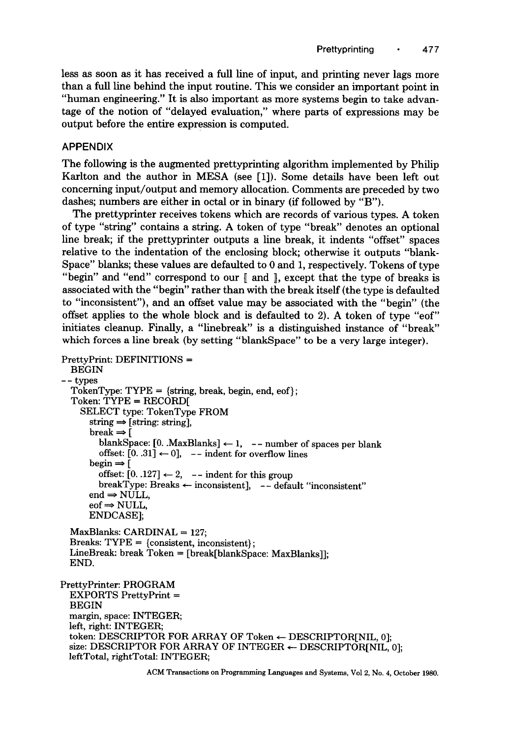less as soon as it has received a full line of input, and printing never lags more than a full line behind the input routine. This we consider an important point in "human engineering." It is also important as more systems begin to take advantage of the notion of "delayed evaluation," where parts of expressions may be output before the entire expression is computed.

# APPENDIX

The following is the augmented prettyprinting algorithm implemented by Philip Karlton and the author in MESA (see [1]). Some details have been left out concerning input/output and memory allocation. Comments are preceded by two dashes; numbers are either in octal or in binary (if followed by "B").

The prettyprinter receives tokens which are records of various types. A token of type "string" contains a string. A token of type "break" denotes an optional line break; if the prettyprinter outputs a line break, it indents "offset" spaces relative to the indentation of the enclosing block; otherwise it outputs "blank-Space" blanks; these values are defaulted to 0 and 1, respectively. Tokens of type "begin" and "end" correspond to our [ and ], except that the type of breaks is associated with the "begin" rather than with the break itself (the type is defaulted to "inconsistent"), and an offset value may be associated with the "begin" (the offset applies to the whole block and is defaulted to 2). A token of type "eof" initiates cleanup. Finally, a "linebreak" is a distinguished instance of "break" which forces a line break (by setting "blankSpace" to be a very large integer).

```
PrettyPrint: DEFINITIONS = 
  BEGIN 
-- types 
  TokenType: TYPE = {string, break, begin, end, eof};Token: TYPE = RECORD[ 
    SELECT type: TokenType FROM 
      string \Rightarrow [string: string],break \Rightarrow [
         blankSpace: [0. \text{MaxBlanks}] \leftarrow 1, -- number of spaces per blank
         offset: [0, .31] \leftarrow 0], -- indent for overflow lines
       begin \Rightarrow [
         offset: [0, 127] \leftarrow 2, -- indent for this group
         breakType: Breaks \leftarrow inconsistent], -- default "inconsistent"
      end \Rightarrow NULL,eof \Rightarrow NULL,
      ENDCASE]; 
  MaxBlanks: CARDINAL = 127:
  Breaks: TYPE = {consistent, inconsistent};
  LineBreak: break Token = [break[blankSpace: MaxBlanks]]; 
  END. 
PrettyPrinter: PROGRAM 
  EXPORTS PrettyPrint = 
  BEGIN 
  margin, space: INTEGER; 
 left, right: INTEGER; 
  token: DESCRIPTOR FOR ARRAY OF Token \leftarrow DESCRIPTOR[NIL, 0];
 size: DESCRIPTOR FOR ARRAY OF INTEGER \leftarrow DESCRIPTOR[NIL, 0];
 leftTotal, rightTotal: INTEGER;
```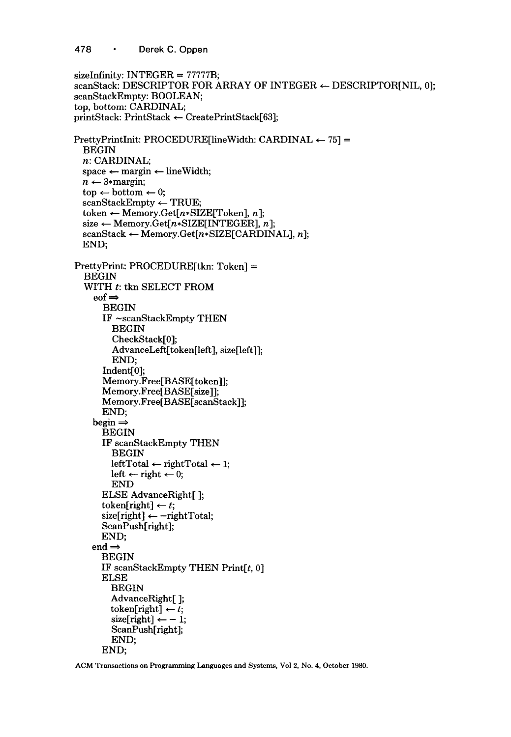478 · Derek C. Oppen

```
sizeInfinity: INTEGER = 77777B;
scanStack: DESCRIPTOR FOR ARRAY OF INTEGER \leftarrow DESCRIPTOR[NIL, 0];
scanStackEmpty: BOOLEAN; 
top, bottom: CARDINAL; 
printStack: PrintStack \leftarrow CreatePrintStack[63];PrettyPrintInit: PROCEDURE[lineWidth: CARDINAL \leftarrow 75] =BEGIN 
  n: CARDINAL; 
  space \leftarrow margin \leftarrow lineWidth;n \leftarrow 3*margin;\text{top} \leftarrow \text{bottom} \leftarrow 0;
  scanStackEmpty \leftarrow TRUE;token \leftarrow Memory.Get[n*SIZE[Token], n];
  size \leftarrow Memory.Get[n*SIZE[INTEGER], n];
  scanStack \leftarrow Memory.Get[n*SIZE[CARDINAL], n];END; 
PrettyPrint: PROCEDURE[tkn: Token] = 
  BEGIN 
  WITH t: tkn SELECT FROM
     \text{eof} \RightarrowBEGIN 
       IF ~scanStackEmpty THEN 
         BEGIN 
         CheckStack[0]; 
         AdvanceLeft[token[left], size[left]]; 
         END; 
       Indent[0]; 
       Memory.Free[BASE[token]I; 
       Memory.Free[BASE[size]]; 
       Memory.Free[BASE[scanStack]]; 
       END; 
    begin \RightarrowBEGIN 
       IF scanStackEmpty THEN 
         BEGIN 
         leftTotal \leftarrow rightTotal \leftarrow 1;left \leftarrow right \leftarrow 0;
         END 
      ELSE AdvanceRight[ ]; 
       token[right] \leftarrow t;
       size[right] \leftarrow - rightTotal:
       ScanPush[right]; 
      END; 
    end \RightarrowBEGIN 
      IF scanStackEmpty THEN Print[t, 0]ELSE
         BEGIN 
         AdvanceRight[ ]; 
         token[right] \leftarrow t;
         size[right] \leftarrow -1;ScanPush[right]; 
         END; 
       END;
```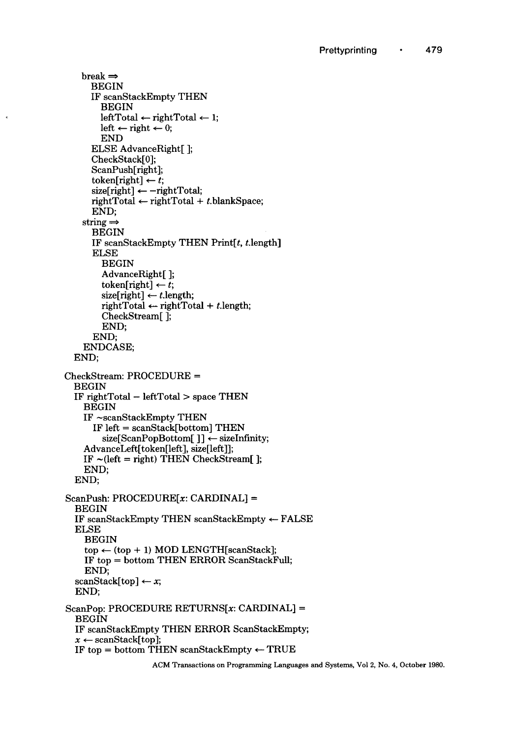```
break \RightarrowBEGIN 
      IF scanStackEmpty THEN 
         BEGIN 
         leftTotal \leftarrow rightTotal \leftarrow 1;
        left \leftarrow right \leftarrow 0;
         END 
      ELSE AdvanceRight[ ]; 
      CheckStack[0]; 
      ScanPush[right]; 
      token[right] \leftarrow t;size[right] \leftarrow - rightTotal;rightTotal \leftarrow rightTotal + t. blankSpace;END; 
    string \RightarrowBEGIN 
      IF scanStackEmpty THEN Print[t, t]length]
      ELSE 
         BEGIN 
         AdvanceRight[ ]; 
         token[right] \leftarrow t;size[right] \leftarrow t.length;
         rightTotal \leftarrow rightTotal + t.length;
         CheckStream[ ]; 
         END; 
       END; 
    ENDCASE; 
  END; 
CheckStream: PROCEDURE =
  BEGIN 
  IF rightTotal - leftTotal > space THEN 
    BEGIN 
    IF -scanStackEmpty THEN 
       IF left = scanStack[bottom] THEN 
         size[ScanPopBottom[] \leftarrow sizeInfinity;
    AdvanceLeft[token[left], size[left]]; 
    IF \sim(left = right) THEN CheckStream[];
    END; 
  END; 
ScanPush: PROCEDURE[x: \text{CARDINAL}] =BEGIN 
  IF scanStackEmpty THEN scanStackEmpty \leftarrow FALSE
  ELSE 
    BEGIN 
    top \leftarrow (top + 1) \text{ MOD LENGTH}[scanStack];
    IF top = bottom THEN ERROR ScanStackFuU; 
    END; 
  scanStack[top] \leftarrow x;END; 
ScanPop: PROCEDURE RETURNS[x: CARDINAL] =BEGIN
  IF scanStackEmpty THEN ERROR ScanStackEmpty; 
  x \leftarrow \text{scanStack}[\text{top}];IF top = bottom THEN scanStackEmpty \leftarrow TRUE
```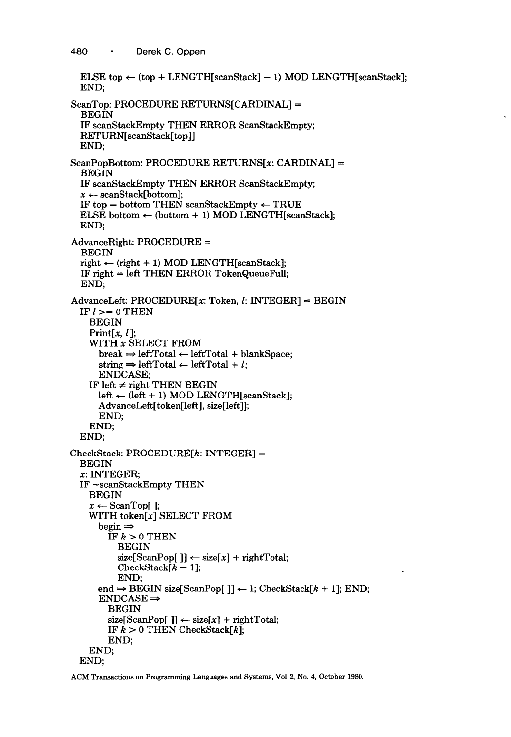```
ELSE top \leftarrow (top + LENGTH[scanStack] - 1) MOD LENGTH[scanStack];
  END; 
ScanTop: PROCEDURE RETURNS[CARDINAL] = 
  BEGIN
  IF scanStackEmpty THEN ERROR ScanStackEmpty; 
  RETURN[scanStack[top]] 
 END; 
ScanPopBottom: PROCEDURE RETURNS[x: CARDINAL] =BEGIN
  IF scanStackEmpty THEN ERROR ScanStackEmpty; 
  x \leftarrow scanStack[bottom];
  IF top = bottom THEN scanStackEmpty \leftarrow TRUE
  ELSE bottom \leftarrow (bottom + 1) MOD LENGTH[scanStack];
  END; 
AdvanceRight: PROCEDURE = 
  BEGIN 
  right \leftarrow (right + 1) MOD LENGTH[scanStack];IF right = left THEN ERROR TokenQueueFull; 
  END; 
AdvanceLeft: PROCEDURE[x:Token, l: INTEGRER] = BEGINIF l > = 0 THEN
    BEGIN 
    Print[x, l];
    WITH x SELECT FROM
      break \Rightarrow leftTotal \leftarrow leftTotal + blankSpace:
      string \Rightarrow leftTotal \leftarrow leftTotal + l;
      ENDCASE; 
    IF left \neq right THEN BEGIN
      left \leftarrow (left + 1) MOD LENGTH[scanStack];
      AdvanceLeft[token[left], size[left]]; 
      END; 
    END; 
 END; 
CheckStack: PROCEDURE[k:INTER] =BEGIN 
 x: INTEGER; 
 IF -scanStackEmpty THEN 
    BEGIN 
    x \leftarrow ScanTop[];
    WITH token[x] SELECT FROM
      begin \RightarrowIF k > 0 THEN
          BEGIN 
          size[ScanPop[ ] \leftarrow size[x] + rightTotal;CheckStack[k-1];END; 
      end \Rightarrow BEGIN size[ScanPop[]] \leftarrow 1; CheckStack[k + 1]; END;
      ENDCASE \RightarrowBEGIN 
        size[ScanPop[ ]] \leftarrow size[x] + rightTotal;IF k > 0 THEN CheckStack[k];
        END; 
    END; 
 END;
```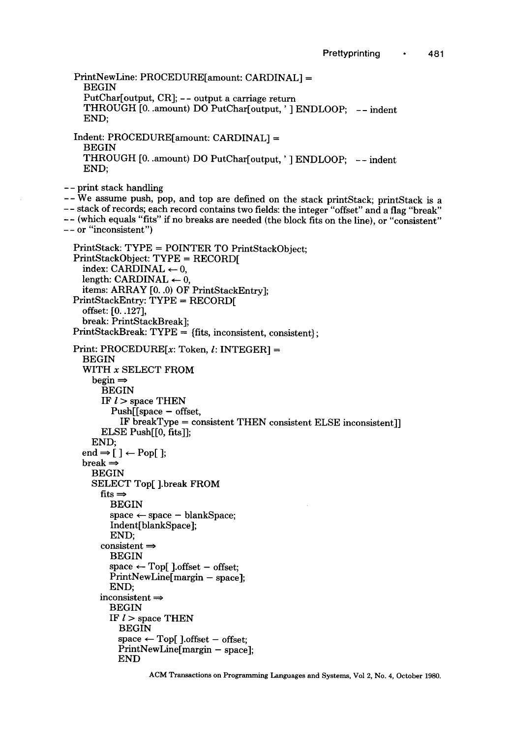PrintNewLine: PROCEDURE[amount: CARDINAL] = BEGIN PutChar[output, CR]; -- output a carriage return THROUGH [0..amount) DO PutChar[output, ' ] ENDLOOP; -- indent END; Indent: PROCEDURE[amount: CARDINAL] = BEGIN THROUGH [0..amount) DO PutChar[output, ' ] ENDLOOP; -- indent END; **--** print stack handling **--We** assume push, pop, and top are defined on the stack printStack; printStack is a **--** stack of records; each record contains two fields: the integer "offset" and a flag "break" - - (which equals "fits" if no breaks are needed (the block fits on the line), or "consistent" **--** or "inconsistent") PrintStack: TYPE = POINTER TO PrintStackObject; PrintStackObject: TYPE = RECORD[ index: CARDINAL  $\leftarrow 0$ , length: CARDINAL  $\leftarrow 0$ , items: ARRAY [0..0) OF PrintStackEntry]; PrintStackEntry: TYPE = RECORD[ offset: [0..127], break: PrintStackBreak]; PrintStackBreak: TYPE = (fits, inconsistent, consistent}; Print: PROCEDURE $[x:$  Token,  $l:$  INTEGER] = BEGIN WITH x SELECT FROM  $begin \Rightarrow$ BEGIN IF  $l >$  space THEN  $Push[$  space  $-$  offset, IF breakType = consistent THEN consistent ELSE inconsistent]] ELSE Push[[0, fits]]; END; end  $\Rightarrow$  [ ]  $\leftarrow$  Pop[ ];  $break \Rightarrow$ BEGIN SELECT Top[ ].break FROM  $fits \Rightarrow$ BEGIN  $space \leftarrow space - blankSpace;$ Indent[blankSpace]; END;  $consistent \Rightarrow$ BEGIN  $space \leftarrow Top[$  ].offset - offset; PrintNewLine[margin - space]; END; inconsistent  $\Rightarrow$ BEGIN IF  $l >$  space THEN BEGIN  $space \leftarrow Top[$  ].offset - offset; PrintNewLine[margin - space]: END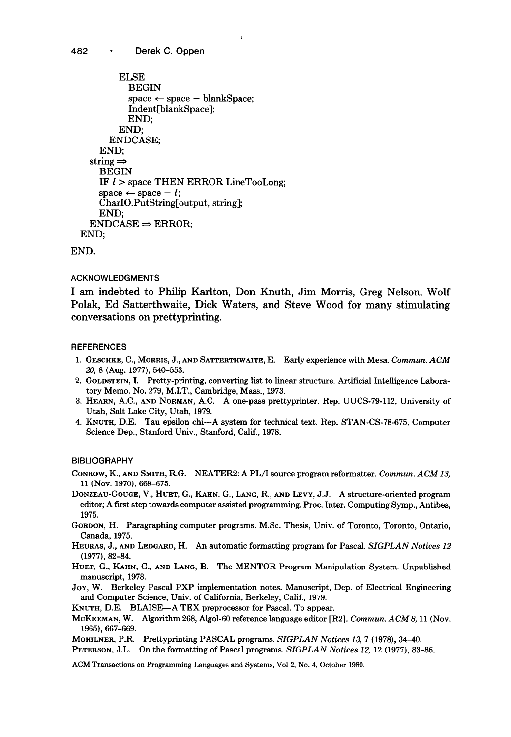```
ELSE
           BEGIN 
           space \leftarrow space - blankSpace:
           Indent[blankSpace]; 
           END; 
         END; 
       ENDCASE; 
    END; 
  string \RightarrowBEGIN 
    IF l > space THEN ERROR LineTooLong;
    space \leftarrow space - l;
    CharIO.PutString[output, string]; 
    END; 
  ENDCASE \Rightarrow ERROR;
END;
```
END.

#### ACKNOWLEDGMENTS

I am indebted to Philip Karlton, Don Knuth, Jim Morris, Greg Nelson, Wolf Polak, Ed Satterthwaite, Dick Waters, and Steve Wood for many stimulating conversations on prettyprinting.

#### **REFERENCES**

- 1. GESCHKE, C., MORRIS, J., AND SATTERTHWAITE, E. Early experience with Mesa. *Commun.ACM 20,* 8 (Aug. 1977), 540-553.
- 2. GOLDSTEIN, I. Pretty-printing, converting list to linear structure. Artificial Intelligence Laboratory Memo. No. 279, M.I.T., Cambridge, Mass., 1973.
- 3. HEARN, A.C., AND NORMAN, A.C. A one-pass prettyprinter. Rep. UUCS-79-112, University of Utah, Salt Lake City, Utah, 1979.
- 4. KNUTH, D.E. Tau epsilon chi--A system for technical text. Rep. STAN-CS-78-675, Computer Science Dep., Stanford Univ., Stanford, Calif., 1978.

**BIBLIOGRAPHY** 

CONROW, K., AND SMITH, R.G. NEATER2: A PL/I source program reformatter. *Commun. ACM 13,*  11 (Nov. 1970), 669-675.

- DONZEAU-GOUGE, V., HUET, G., KAHN, G., LANG, R., AND LEVY, J.J. A structure-oriented program editor; A first step towards computer assisted programming. Proc. Inter. Computing Symp., Antibes, 1975.
- GORDON, H. Paragraphing computer programs. M.Sc. Thesis, Univ. of Toronto, Toronto, Ontario, Canada, 1975.
- HEURAS, J., AND LEDGARD, H. An automatic formatting program for Pascal. *SIGPLAN Notices 12*  (1977), 82-84.
- HUET, G., KAHN, G., AND LANG, B. The MENTOR Program Manipulation System. Unpublished manuscript, 1978.
- JoY, W. Berkeley Pascal PXP implementation notes. Manuscript, Dep. of Electrical Engineering and Computer Science, Univ. of California, Berkeley, Calif., 1979.
- KNUTH, D.E. BLAISE--A TEX preprocessor for Pascal. To appear.
- MCKEEMAN, W. *Algorithm 268, Algol-60 reference language editor [R2]. Commun. ACM S, 11(Nov.*  1965), 667-669.

MOHILNER, P.R. Prettyprinting PASCAL programs. *SIGPLAN Notices 13,* 7 (1978), 34-40.

PETERSON, J.L. On the formatting of Pascal programs. *SIGPLAN Notices 12,* 12 (1977), 83-86.